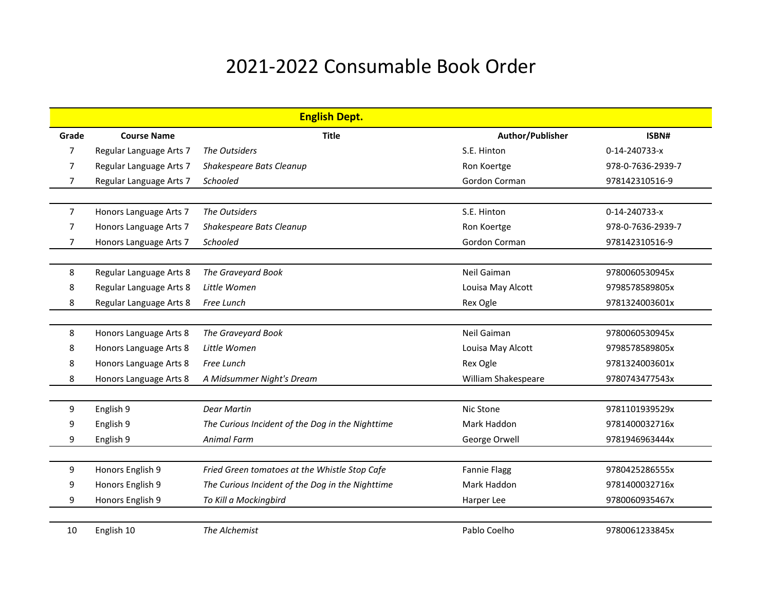## 2021-2022 Consumable Book Order

|                |                         | <b>English Dept.</b>                             |                     |                   |
|----------------|-------------------------|--------------------------------------------------|---------------------|-------------------|
| Grade          | <b>Course Name</b>      | <b>Title</b>                                     | Author/Publisher    | ISBN#             |
| 7              | Regular Language Arts 7 | The Outsiders                                    | S.E. Hinton         | 0-14-240733-x     |
| 7              | Regular Language Arts 7 | Shakespeare Bats Cleanup                         | Ron Koertge         | 978-0-7636-2939-7 |
| 7              | Regular Language Arts 7 | Schooled                                         | Gordon Corman       | 978142310516-9    |
|                |                         |                                                  |                     |                   |
| $\overline{7}$ | Honors Language Arts 7  | The Outsiders                                    | S.E. Hinton         | 0-14-240733-x     |
| 7              | Honors Language Arts 7  | Shakespeare Bats Cleanup                         | Ron Koertge         | 978-0-7636-2939-7 |
| 7              | Honors Language Arts 7  | Schooled                                         | Gordon Corman       | 978142310516-9    |
|                |                         |                                                  |                     |                   |
| 8              | Regular Language Arts 8 | The Graveyard Book                               | Neil Gaiman         | 9780060530945x    |
| 8              | Regular Language Arts 8 | Little Women                                     | Louisa May Alcott   | 9798578589805x    |
| 8              | Regular Language Arts 8 | Free Lunch                                       | Rex Ogle            | 9781324003601x    |
|                |                         |                                                  |                     |                   |
| 8              | Honors Language Arts 8  | The Graveyard Book                               | Neil Gaiman         | 9780060530945x    |
| 8              | Honors Language Arts 8  | Little Women                                     | Louisa May Alcott   | 9798578589805x    |
| 8              | Honors Language Arts 8  | Free Lunch                                       | Rex Ogle            | 9781324003601x    |
| 8              | Honors Language Arts 8  | A Midsummer Night's Dream                        | William Shakespeare | 9780743477543x    |
|                |                         |                                                  |                     |                   |
| 9              | English 9               | Dear Martin                                      | Nic Stone           | 9781101939529x    |
| 9              | English 9               | The Curious Incident of the Dog in the Nighttime | Mark Haddon         | 9781400032716x    |
| 9              | English 9               | <b>Animal Farm</b>                               | George Orwell       | 9781946963444x    |
|                |                         |                                                  |                     |                   |
| 9              | Honors English 9        | Fried Green tomatoes at the Whistle Stop Cafe    | <b>Fannie Flagg</b> | 9780425286555x    |
| 9              | Honors English 9        | The Curious Incident of the Dog in the Nighttime | Mark Haddon         | 9781400032716x    |
| 9              | Honors English 9        | To Kill a Mockingbird                            | Harper Lee          | 9780060935467x    |
|                |                         |                                                  |                     |                   |
| 10             | English 10              | The Alchemist                                    | Pablo Coelho        | 9780061233845x    |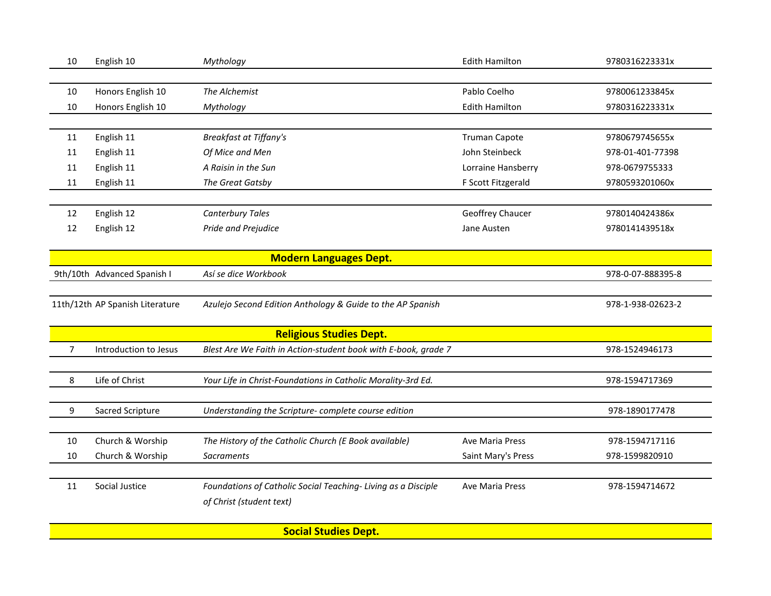| 10             | English 10                      | Mythology                                                      | <b>Edith Hamilton</b> | 9780316223331x    |  |  |  |
|----------------|---------------------------------|----------------------------------------------------------------|-----------------------|-------------------|--|--|--|
|                |                                 |                                                                |                       |                   |  |  |  |
| 10             | Honors English 10               | The Alchemist                                                  | Pablo Coelho          | 9780061233845x    |  |  |  |
| 10             | Honors English 10               | Mythology                                                      | <b>Edith Hamilton</b> | 9780316223331x    |  |  |  |
|                |                                 |                                                                |                       |                   |  |  |  |
| 11             | English 11                      | <b>Breakfast at Tiffany's</b>                                  | <b>Truman Capote</b>  | 9780679745655x    |  |  |  |
| 11             | English 11                      | Of Mice and Men                                                | John Steinbeck        | 978-01-401-77398  |  |  |  |
| 11             | English 11                      | A Raisin in the Sun                                            | Lorraine Hansberry    | 978-0679755333    |  |  |  |
| 11             | English 11                      | The Great Gatsby                                               | F Scott Fitzgerald    | 9780593201060x    |  |  |  |
|                |                                 |                                                                |                       |                   |  |  |  |
| 12             | English 12                      | Canterbury Tales                                               | Geoffrey Chaucer      | 9780140424386x    |  |  |  |
| 12             | English 12                      | Pride and Prejudice                                            | Jane Austen           | 9780141439518x    |  |  |  |
|                |                                 |                                                                |                       |                   |  |  |  |
|                |                                 | <b>Modern Languages Dept.</b>                                  |                       |                   |  |  |  |
|                | 9th/10th Advanced Spanish I     | Así se dice Workbook                                           |                       | 978-0-07-888395-8 |  |  |  |
|                |                                 |                                                                |                       |                   |  |  |  |
|                | 11th/12th AP Spanish Literature | Azulejo Second Edition Anthology & Guide to the AP Spanish     |                       | 978-1-938-02623-2 |  |  |  |
|                |                                 |                                                                |                       |                   |  |  |  |
|                | <b>Religious Studies Dept.</b>  |                                                                |                       |                   |  |  |  |
| $\overline{7}$ | Introduction to Jesus           | Blest Are We Faith in Action-student book with E-book, grade 7 |                       | 978-1524946173    |  |  |  |
|                |                                 |                                                                |                       |                   |  |  |  |
| 8              | Life of Christ                  | Your Life in Christ-Foundations in Catholic Morality-3rd Ed.   |                       | 978-1594717369    |  |  |  |
|                |                                 |                                                                |                       |                   |  |  |  |
| 9              | Sacred Scripture                | Understanding the Scripture-complete course edition            |                       | 978-1890177478    |  |  |  |
|                |                                 |                                                                |                       |                   |  |  |  |
| 10             | Church & Worship                | The History of the Catholic Church (E Book available)          | Ave Maria Press       | 978-1594717116    |  |  |  |
| 10             | Church & Worship                | <b>Sacraments</b>                                              | Saint Mary's Press    | 978-1599820910    |  |  |  |
|                |                                 |                                                                |                       |                   |  |  |  |
| 11             | Social Justice                  | Foundations of Catholic Social Teaching- Living as a Disciple  | Ave Maria Press       | 978-1594714672    |  |  |  |
|                |                                 | of Christ (student text)                                       |                       |                   |  |  |  |
|                |                                 |                                                                |                       |                   |  |  |  |

**Social Studies Dept.**